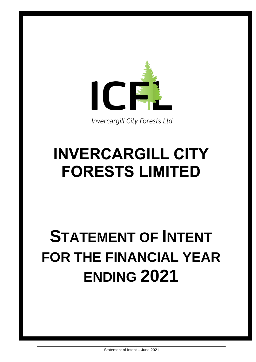

**Invercargill City Forests Ltd** 

# **INVERCARGILL CITY FORESTS LIMITED**

# **STATEMENT OF INTENT FOR THE FINANCIAL YEAR ENDING 2021**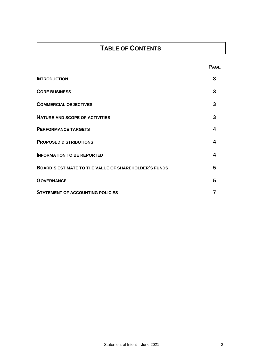# **TABLE OF CONTENTS**

| <b>INTRODUCTION</b>                                  | 3 |
|------------------------------------------------------|---|
| <b>CORE BUSINESS</b>                                 | 3 |
| <b>COMMERCIAL OBJECTIVES</b>                         | 3 |
| <b>NATURE AND SCOPE OF ACTIVITIES</b>                | 3 |
| <b>PERFORMANCE TARGETS</b>                           | 4 |
| <b>PROPOSED DISTRIBUTIONS</b>                        | 4 |
| <b>INFORMATION TO BE REPORTED</b>                    | 4 |
| BOARD'S ESTIMATE TO THE VALUE OF SHAREHOLDER'S FUNDS | 5 |
| <b>GOVERNANCE</b>                                    | 5 |
| <b>STATEMENT OF ACCOUNTING POLICIES</b>              |   |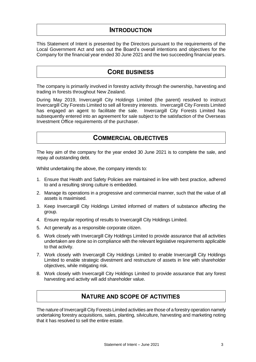## **INTRODUCTION**

This Statement of Intent is presented by the Directors pursuant to the requirements of the Local Government Act and sets out the Board's overall intentions and objectives for the Company for the financial year ended 30 June 2021 and the two succeeding financial years.

## **CORE BUSINESS**

The company is primarily involved in forestry activity through the ownership, harvesting and trading in forests throughout New Zealand.

During May 2019, Invercargill City Holdings Limited (the parent) resolved to instruct Invercargill City Forests Limited to sell all forestry interests. Invercargill City Forests Limited has engaged an agent to facilitate the sale. Invercargill City Forests Limited has subsequently entered into an agreement for sale subject to the satisfaction of the Overseas Investment Office requirements of the purchaser.

## **COMMERCIAL OBJECTIVES**

The key aim of the company for the year ended 30 June 2021 is to complete the sale, and repay all outstanding debt.

Whilst undertaking the above, the company intends to:

- 1. Ensure that Health and Safety Policies are maintained in line with best practice, adhered to and a resulting strong culture is embedded.
- 2. Manage its operations in a progressive and commercial manner, such that the value of all assets is maximised.
- 3. Keep Invercargill City Holdings Limited informed of matters of substance affecting the group.
- 4. Ensure regular reporting of results to Invercargill City Holdings Limited.
- 5. Act generally as a responsible corporate citizen.
- 6. Work closely with Invercargill City Holdings Limited to provide assurance that all activities undertaken are done so in compliance with the relevant legislative requirements applicable to that activity.
- 7. Work closely with Invercargill City Holdings Limited to enable Invercargill City Holdings Limited to enable strategic divestment and restructure of assets in line with shareholder objectives, while mitigating risk.
- 8. Work closely with Invercargill City Holdings Limited to provide assurance that any forest harvesting and activity will add shareholder value.

## **NATURE AND SCOPE OF ACTIVITIES**

The nature of Invercargill City Forests Limited activities are those of a forestry operation namely undertaking forestry acquisitions, sales, planting, silviculture, harvesting and marketing noting that it has resolved to sell the entire estate.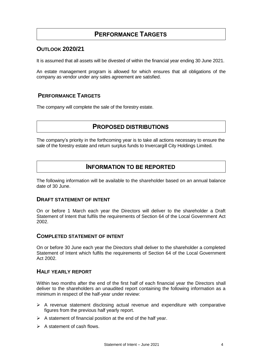## **PERFORMANCE TARGETS**

#### **OUTLOOK 2020/21**

It is assumed that all assets will be divested of within the financial year ending 30 June 2021.

An estate management program is allowed for which ensures that all obligations of the company as vendor under any sales agreement are satisfied.

#### **PERFORMANCE TARGETS**

The company will complete the sale of the forestry estate.

## **PROPOSED DISTRIBUTIONS**

The company's priority in the forthcoming year is to take all actions necessary to ensure the sale of the forestry estate and return surplus funds to Invercargill City Holdings Limited.

#### **INFORMATION TO BE REPORTED**

The following information will be available to the shareholder based on an annual balance date of 30 June.

#### **DRAFT STATEMENT OF INTENT**

On or before 1 March each year the Directors will deliver to the shareholder a Draft Statement of Intent that fulfils the requirements of Section 64 of the Local Government Act 2002.

#### **COMPLETED STATEMENT OF INTENT**

On or before 30 June each year the Directors shall deliver to the shareholder a completed Statement of Intent which fulfils the requirements of Section 64 of the Local Government Act 2002.

#### **HALF YEARLY REPORT**

Within two months after the end of the first half of each financial year the Directors shall deliver to the shareholders an unaudited report containing the following information as a minimum in respect of the half-year under review:

- $\triangleright$  A revenue statement disclosing actual revenue and expenditure with comparative figures from the previous half yearly report.
- $\triangleright$  A statement of financial position at the end of the half year.
- $\triangleright$  A statement of cash flows.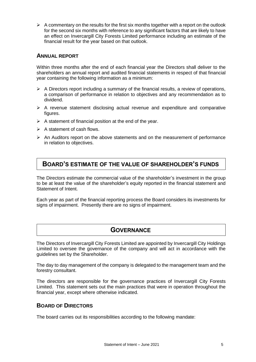$\triangleright$  A commentary on the results for the first six months together with a report on the outlook for the second six months with reference to any significant factors that are likely to have an effect on Invercargill City Forests Limited performance including an estimate of the financial result for the year based on that outlook.

#### **ANNUAL REPORT**

Within three months after the end of each financial year the Directors shall deliver to the shareholders an annual report and audited financial statements in respect of that financial year containing the following information as a minimum:

- $\triangleright$  A Directors report including a summary of the financial results, a review of operations, a comparison of performance in relation to objectives and any recommendation as to dividend.
- $\triangleright$  A revenue statement disclosing actual revenue and expenditure and comparative figures.
- $\triangleright$  A statement of financial position at the end of the year.
- $\triangleright$  A statement of cash flows.
- $\triangleright$  An Auditors report on the above statements and on the measurement of performance in relation to objectives.

## **BOARD'S ESTIMATE OF THE VALUE OF SHAREHOLDER'S FUNDS**

The Directors estimate the commercial value of the shareholder's investment in the group to be at least the value of the shareholder's equity reported in the financial statement and Statement of Intent.

Each year as part of the financial reporting process the Board considers its investments for signs of impairment. Presently there are no signs of impairment.

## **GOVERNANCE**

The Directors of Invercargill City Forests Limited are appointed by Invercargill City Holdings Limited to oversee the governance of the company and will act in accordance with the guidelines set by the Shareholder.

The day to day management of the company is delegated to the management team and the forestry consultant.

The directors are responsible for the governance practices of Invercargill City Forests Limited. This statement sets out the main practices that were in operation throughout the financial year, except where otherwise indicated.

#### **BOARD OF DIRECTORS**

The board carries out its responsibilities according to the following mandate: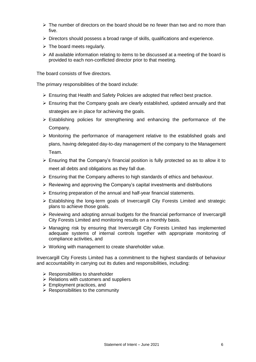- $\triangleright$  The number of directors on the board should be no fewer than two and no more than five.
- $\triangleright$  Directors should possess a broad range of skills, qualifications and experience.
- $\triangleright$  The board meets regularly.
- $\triangleright$  All available information relating to items to be discussed at a meeting of the board is provided to each non-conflicted director prior to that meeting.

The board consists of five directors.

The primary responsibilities of the board include:

- $\triangleright$  Ensuring that Health and Safety Policies are adopted that reflect best practice.
- $\triangleright$  Ensuring that the Company goals are clearly established, updated annually and that strategies are in place for achieving the goals.
- $\triangleright$  Establishing policies for strengthening and enhancing the performance of the Company.
- $\triangleright$  Monitoring the performance of management relative to the established goals and plans, having delegated day-to-day management of the company to the Management Team.
- $\triangleright$  Ensuring that the Company's financial position is fully protected so as to allow it to meet all debts and obligations as they fall due.
- $\triangleright$  Ensuring that the Company adheres to high standards of ethics and behaviour.
- $\triangleright$  Reviewing and approving the Company's capital investments and distributions
- $\triangleright$  Ensuring preparation of the annual and half-year financial statements.
- $\triangleright$  Establishing the long-term goals of Invercargill City Forests Limited and strategic plans to achieve those goals.
- $\triangleright$  Reviewing and adopting annual budgets for the financial performance of Invercargill City Forests Limited and monitoring results on a monthly basis.
- $\triangleright$  Managing risk by ensuring that Invercargill City Forests Limited has implemented adequate systems of internal controls together with appropriate monitoring of compliance activities, and
- $\triangleright$  Working with management to create shareholder value.

Invercargill City Forests Limited has a commitment to the highest standards of behaviour and accountability in carrying out its duties and responsibilities, including:

- $\triangleright$  Responsibilities to shareholder
- $\triangleright$  Relations with customers and suppliers
- $\triangleright$  Employment practices, and
- $\triangleright$  Responsibilities to the community